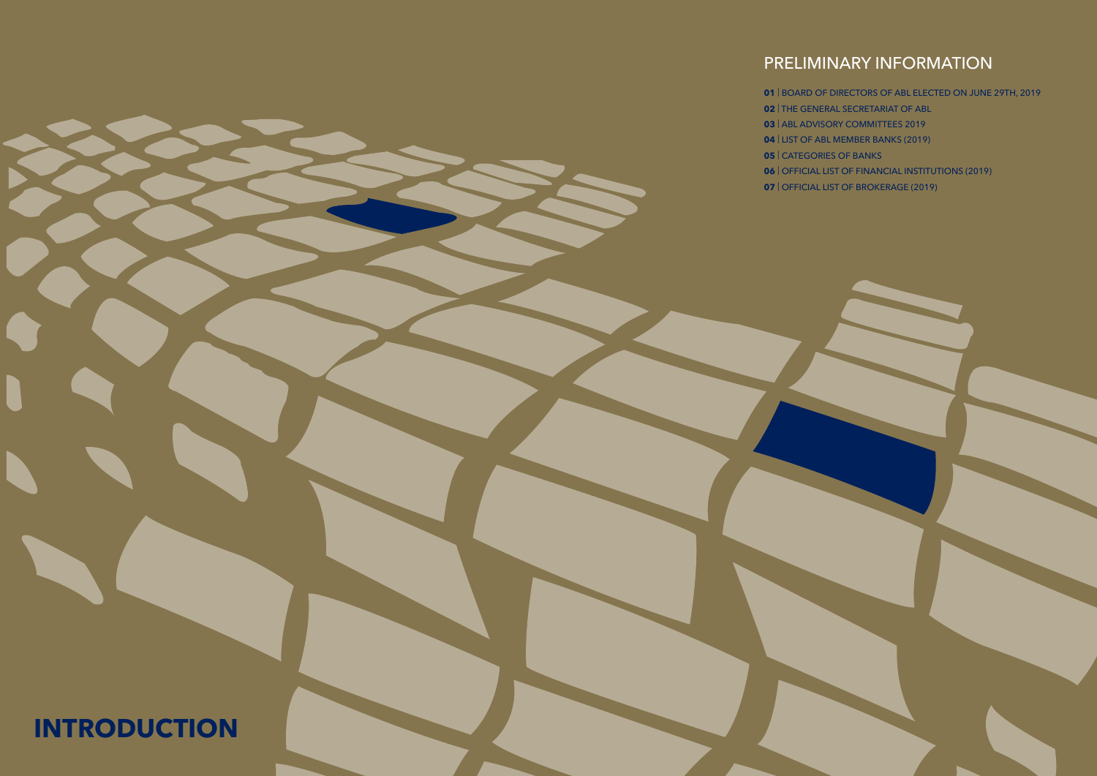# PRELIMINARY INFORMATION

# **INTRODUCTION**

- 
- | THE GENERAL SECRETARIAT OF ABL
- | ABL ADVISORY COMMITTEES 2019
- 
- 
- 
- 
- | BOARD OF DIRECTORS OF ABL ELECTED ON JUNE 29TH, 2019
- | LIST OF ABL MEMBER BANKS (2019)
- | CATEGORIES OF BANKS
- | OFFICIAL LIST OF FINANCIAL INSTITUTIONS (2019)
- | OFFICIAL LIST OF BROKERAGE (2019)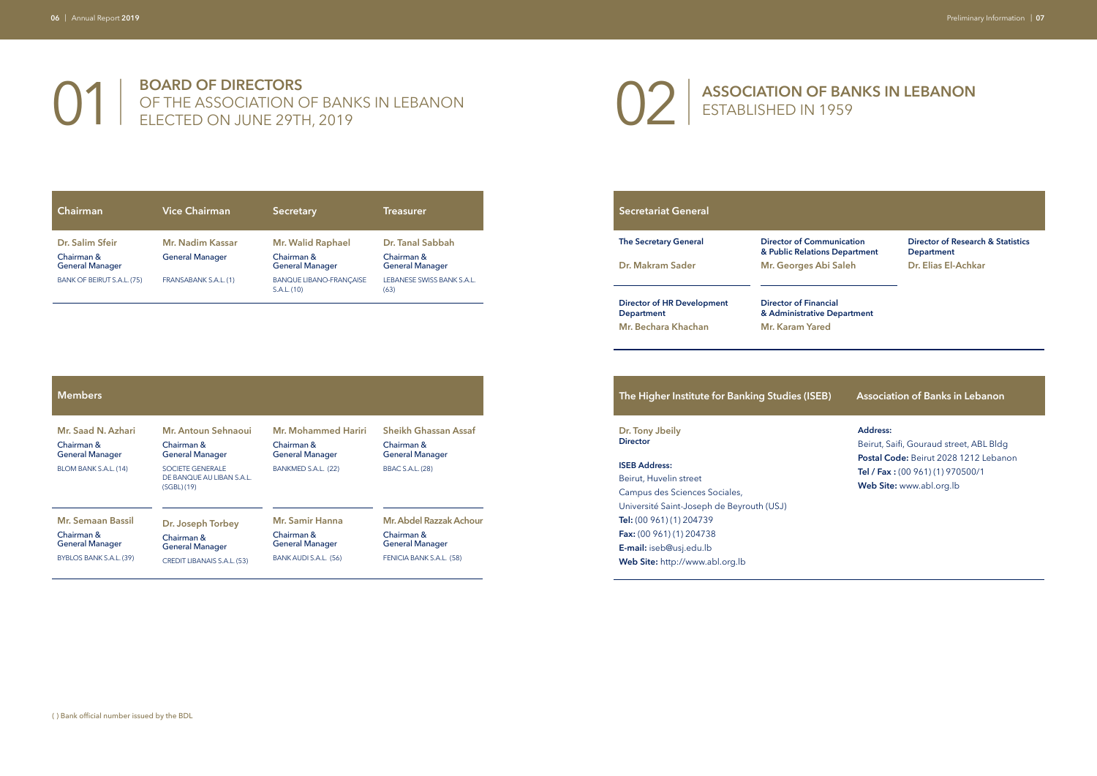## **01** BOARD OF DIRECTORS<br>
DELECTED ON JUNE 29TH, 2019 OF THE ASSOCIATION OF BANKS IN LEBANON ELECTED ON JUNE 29TH, 2019

# **ASSOCIATION OF BANKS IN LEBANON**

**unication B** Department **Saleh** 

ESTABLISHED IN 1959

**Director of Financial Department** 

| Chairman                                                | <b>Vice Chairman</b>                       | <b>Secretary</b>                                                 | <b>Treasurer</b>                                         |
|---------------------------------------------------------|--------------------------------------------|------------------------------------------------------------------|----------------------------------------------------------|
| Dr. Salim Sfeir<br>Chairman &<br><b>General Manager</b> | Mr. Nadim Kassar<br><b>General Manager</b> | <b>Mr. Walid Raphael</b><br>Chairman &<br><b>General Manager</b> | Dr. Tanal Sabbah<br>Chairman &<br><b>General Manager</b> |
| BANK OF BEIRUT S.A.L. (75)                              | FRANSABANK S.A.L. (1)                      | <b>BANQUE LIBANO-FRANCAISE</b><br>S.A.L. (10)                    | LEBANESE SWISS BANK S.A.L.<br>(63)                       |

**Director of Research & Statistics Department Dr. Elias El-Achkar**

| <b>Secretariat General</b>                      |                                                  |
|-------------------------------------------------|--------------------------------------------------|
| <b>The Secretary General</b>                    | <b>Director of Commu</b><br>& Public Relations   |
| Dr. Makram Sader                                | Mr. Georges Abi                                  |
| Director of HR Development<br><b>Department</b> | <b>Director of Financi</b><br>& Administrative D |
| Mr. Bechara Khachan                             | Mr. Karam Yared                                  |

| <b>Members</b>                       |                                                                    |                                      |                                      |
|--------------------------------------|--------------------------------------------------------------------|--------------------------------------|--------------------------------------|
| Mr. Saad N. Azhari                   | Mr. Antoun Sehnaoui                                                | Mr. Mohammed Hariri                  | <b>Sheikh Ghassan Assaf</b>          |
| Chairman &<br><b>General Manager</b> | Chairman &<br><b>General Manager</b>                               | Chairman &<br><b>General Manager</b> | Chairman &<br><b>General Manager</b> |
| BLOM BANK S.A.L. (14)                | <b>SOCIETE GENERALE</b><br>DE BANQUE AU LIBAN S.A.L.<br>(SGBL)(19) | BANKMED S.A.L. (22)                  | <b>BBAC S.A.L. (28)</b>              |
| <b>Mr. Semaan Bassil</b>             | Dr. Joseph Torbey                                                  | <b>Mr. Samir Hanna</b>               | Mr. Abdel Razzak Achour              |
| Chairman &<br><b>General Manager</b> | Chairman &<br><b>General Manager</b>                               | Chairman &<br><b>General Manager</b> | Chairman &<br><b>General Manager</b> |
| BYBLOS BANK S.A.L. (39)              | CREDIT LIBANAIS S.A.L. (53)                                        | BANK AUDI S.A.L. (56)                | FENICIA BANK S.A.L. (58)             |

#### **The Higher Institute for Banking Studies (ISEB) Association of Banks in Lebanon**

**Dr. Tony Jbeily Director**

 $\overline{\phantom{0}}$ 

#### **ISEB Address:**

Beirut, Huvelin street Campus des Sciences Sociales, Université Saint-Joseph de Beyrouth (USJ) **Tel:** (00 961) (1) 204739 **Fax:** (00 961) (1) 204738 **E-mail:** iseb@usj.edu.lb **Web Site:** http://www.abl.org.lb

**Address:**

Beirut, Saifi, Gouraud street, ABL Bldg **Postal Code:** Beirut 2028 1212 Lebanon **Tel / Fax :** (00 961) (1) 970500/1 **Web Site:** www.abl.org.lb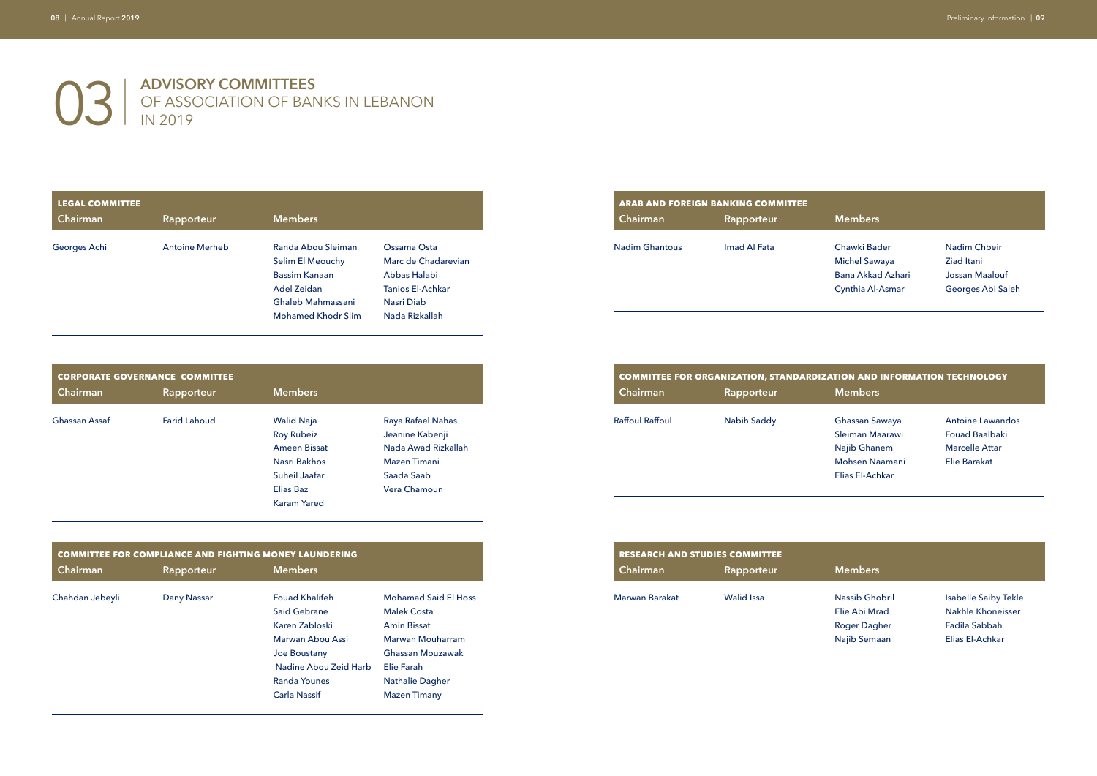## 03| **ADVISORY COMMITTEES** OF ASSOCIATION OF BANKS IN LEBANON IN 2019

Chawki Bader Michel Sawaya Bana Akkad Azhari Cynthia Al-Asmar

Nadim Chbeir Ziad Itani Jossan Maalouf Georges Abi Saleh

### **COMBITTEE FORMATION TECHNOLOGY**

#### **Members**

|                        | <b>COMMITTEE FOR ORGANIZATION, STANDARDIZATION AND INFOR</b> |                |
|------------------------|--------------------------------------------------------------|----------------|
| <b>Chairman</b>        | Rapporteur                                                   | <b>Members</b> |
| <b>Raffoul Raffoul</b> | <b>Nabih Saddy</b>                                           | Ghassan Sawaya |

Sleiman Maarawi Najib Ghanem Mohsen Naamani Elias El-Achkar

Antoine Lawandos Fouad Baalbaki Marcelle Attar Elie Barakat

#### **Members**

| <b>LEGAL COMMITTEE</b> |                       |                           |                     | <b>ARAB AND FOREIGN BANKING COMMITTEE</b> |  |
|------------------------|-----------------------|---------------------------|---------------------|-------------------------------------------|--|
| <b>Chairman</b>        | Rapporteur            | <b>Members</b>            |                     | Chairman                                  |  |
| Georges Achi           | <b>Antoine Merheb</b> | Randa Abou Sleiman        | Ossama Osta         | <b>Nadim Ghantous</b>                     |  |
|                        |                       | Selim El Meouchy          | Marc de Chadarevian |                                           |  |
|                        |                       | <b>Bassim Kanaan</b>      | Abbas Halabi        |                                           |  |
|                        |                       | Adel Zeidan               | Tanios El-Achkar    |                                           |  |
|                        |                       | Ghaleb Mahmassani         | Nasri Diab          |                                           |  |
|                        |                       | <b>Mohamed Khodr Slim</b> | Nada Rizkallah      |                                           |  |

| <b>ARAB AND FOREIGN BANKING COMMITTEE</b><br>Chairman | Rapporteur   |
|-------------------------------------------------------|--------------|
| <b>Nadim Ghantous</b>                                 | Imad Al Fata |

Elie Abi Mrad Roger Dagher Najib Semaan

|               | <b>CORPORATE GOVERNANCE COMMITTEE</b> |                     |                     |
|---------------|---------------------------------------|---------------------|---------------------|
| Chairman      | Rapporteur                            | <b>Members</b>      |                     |
| Ghassan Assaf | <b>Farid Lahoud</b>                   | <b>Walid Naja</b>   | Raya Rafael Nahas   |
|               |                                       | <b>Roy Rubeiz</b>   | Jeanine Kabenji     |
|               |                                       | <b>Ameen Bissat</b> | Nada Awad Rizkallah |
|               |                                       | Nasri Bakhos        | Mazen Timani        |
|               |                                       | Suheil Jaafar       | Saada Saab          |
|               |                                       | <b>Elias Baz</b>    | Vera Chamoun        |
|               |                                       | <b>Karam Yared</b>  |                     |
|               |                                       |                     |                     |

Isabelle Saiby Tekle Nakhle Khoneisser Fadila Sabbah Elias El-Achkar

|                 | <b>COMMITTEE FOR COMPLIANCE AND FIGHTING MONEY LAUNDERING</b> |                       |                             |
|-----------------|---------------------------------------------------------------|-----------------------|-----------------------------|
| Chairman        | Rapporteur                                                    | <b>Members</b>        |                             |
| Chahdan Jebeyli | Dany Nassar                                                   | <b>Fouad Khalifeh</b> | <b>Mohamad Said El Hoss</b> |
|                 |                                                               | Said Gebrane          | <b>Malek Costa</b>          |
|                 |                                                               | Karen Zabloski        | <b>Amin Bissat</b>          |
|                 |                                                               | Marwan Abou Assi      | Marwan Mouharram            |
|                 |                                                               | Joe Boustany          | Ghassan Mouzawak            |
|                 |                                                               | Nadine Abou Zeid Harb | Elie Farah                  |
|                 |                                                               | <b>Randa Younes</b>   | <b>Nathalie Dagher</b>      |
|                 |                                                               | <b>Carla Nassif</b>   | <b>Mazen Timany</b>         |

| <b>RESEARCH AND STUDIES COMMITTEE</b> |            |                                 |
|---------------------------------------|------------|---------------------------------|
| Chairman                              | Rapporteur | <b>Members</b>                  |
| Marwan Barakat                        | Walid Issa | Nassib Ghobril<br>Elie Abi Mrad |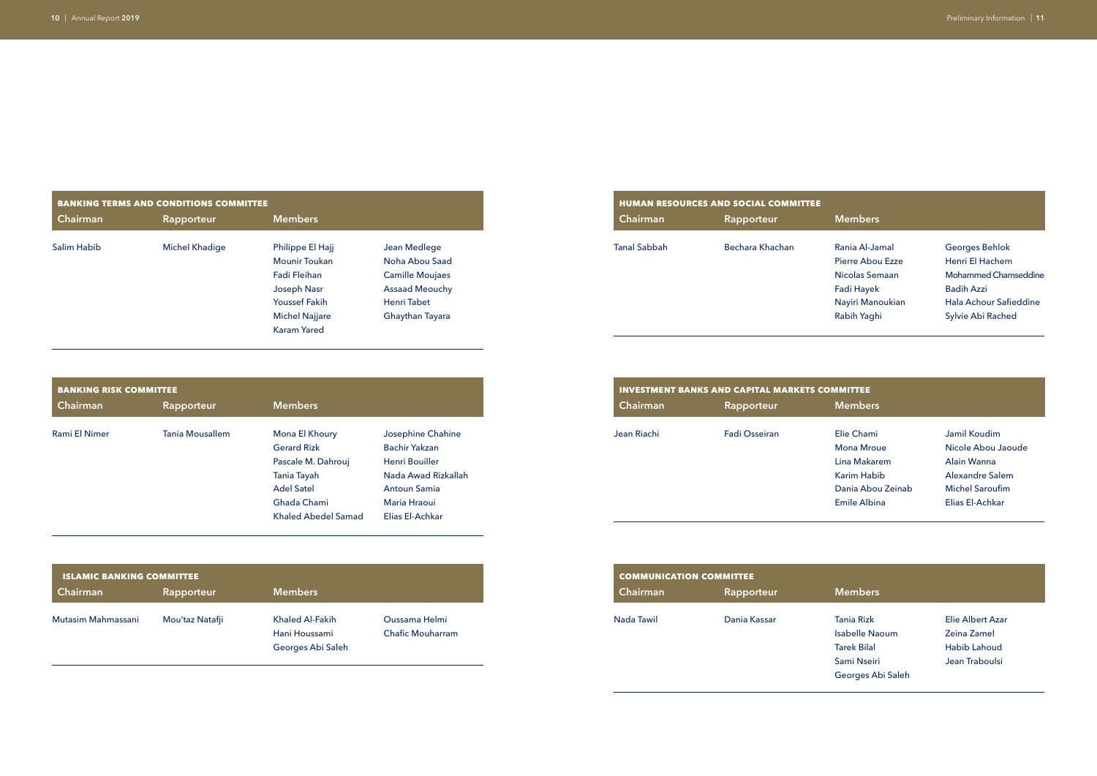Rania Al-Jamal Pierre Abou Ezze Nicolas Semaan Fadi Hayek Nayiri Manoukian Rabih Yaghi

Elie Chami Mona Mroue Lina Makarem Karim Habib Dania Abou Zeinab Emile Albina

Georges Behlok Henri El Hachem Mohammed Chamseddine Badih Azzi Hala Achour Safieddine Sylvie Abi Rached

|             | <b>BANKING TERMS AND CONDITIONS COMMITTEE</b> |                       |                        |                     | <b>HUMAN RESOURCES AND SOCIAL COMMITTEE</b> |  |
|-------------|-----------------------------------------------|-----------------------|------------------------|---------------------|---------------------------------------------|--|
| Chairman    | Rapporteur                                    | <b>Members</b>        |                        | Chairman            | Rapporteur                                  |  |
| Salim Habib | <b>Michel Khadige</b>                         | Philippe El Hajj      | Jean Medlege           | <b>Tanal Sabbah</b> | Bechara Khachan                             |  |
|             |                                               | <b>Mounir Toukan</b>  | Noha Abou Saad         |                     |                                             |  |
|             |                                               | Fadi Fleihan          | <b>Camille Moujaes</b> |                     |                                             |  |
|             |                                               | Joseph Nasr           | <b>Assaad Meouchy</b>  |                     |                                             |  |
|             |                                               | <b>Youssef Fakih</b>  | Henri Tabet            |                     |                                             |  |
|             |                                               | <b>Michel Najjare</b> | Ghaythan Tayara        |                     |                                             |  |
|             |                                               | <b>Karam Yared</b>    |                        |                     |                                             |  |

|              | <u>HUMAN RESOURCES AND SOCIAL COMMITTEE</u> |
|--------------|---------------------------------------------|
| Chairman     | Rapporteur                                  |
| Tanal Sabbah | Bechara Khachan                             |

| <b>BANKING RISK COMMITTEE</b> |                        | <b>INVESTMENT BANKS AND CAPITAL MARKETS COMMITTEE</b> |                      |             |
|-------------------------------|------------------------|-------------------------------------------------------|----------------------|-------------|
| Chairman                      | Rapporteur             | <b>Members</b>                                        |                      | Chairman    |
| Rami El Nimer                 | <b>Tania Mousallem</b> | Mona El Khoury                                        | Josephine Chahine    | Jean Riachi |
|                               |                        | <b>Gerard Rizk</b>                                    | <b>Bachir Yakzan</b> |             |
|                               |                        | Pascale M. Dahrouj                                    | Henri Bouiller       |             |
|                               |                        | Tania Tayah                                           | Nada Awad Rizkallah  |             |
|                               |                        | <b>Adel Satel</b>                                     | <b>Antoun Samia</b>  |             |
|                               |                        | Ghada Chami                                           | Maria Hraoui         |             |
|                               |                        | Khaled Abedel Samad                                   | Elias El-Achkar      |             |

| <b>ISLAMIC BANKING COMMITTEE</b> |                 |                   |                         | <b>COMMUNICATION COMMITTEE</b> |
|----------------------------------|-----------------|-------------------|-------------------------|--------------------------------|
| <b>Chairman</b>                  | Rapporteur      | <b>Members</b>    |                         | Chairman                       |
| Mutasim Mahmassani               | Mou'taz Natafji | Khaled Al-Fakih   | Oussama Helmi           | Nada Tawil                     |
|                                  |                 | Hani Houssami     | <b>Chafic Mouharram</b> |                                |
|                                  |                 | Georges Abi Saleh |                         |                                |
|                                  |                 |                   |                         |                                |

| <b>INVESTMENT BANKS AND CAPITAL MARKETS CO</b> |               |  |  |  |  |
|------------------------------------------------|---------------|--|--|--|--|
| Chairman                                       | Rapporteur    |  |  |  |  |
| Jean Riachi                                    | Fadi Osseiran |  |  |  |  |

Jamil Koudim Nicole Abou Jaoude Alain Wanna Alexandre Salem Michel Saroufim Elias El-Achkar

| <b>COMMUNICATION COMMITTEE</b> |              |                        |  |  |  |
|--------------------------------|--------------|------------------------|--|--|--|
| Chairman                       | Rapporteur   | <b>Members</b>         |  |  |  |
| Nada Tawil                     | Dania Kassar | Tania Rizk<br>المطمولة |  |  |  |

- Isabelle Naoum Tarek Bilal Sami Nseiri Georges Abi Saleh
- Elie Albert Azar Zeina Zamel Habib Lahoud Jean Traboulsi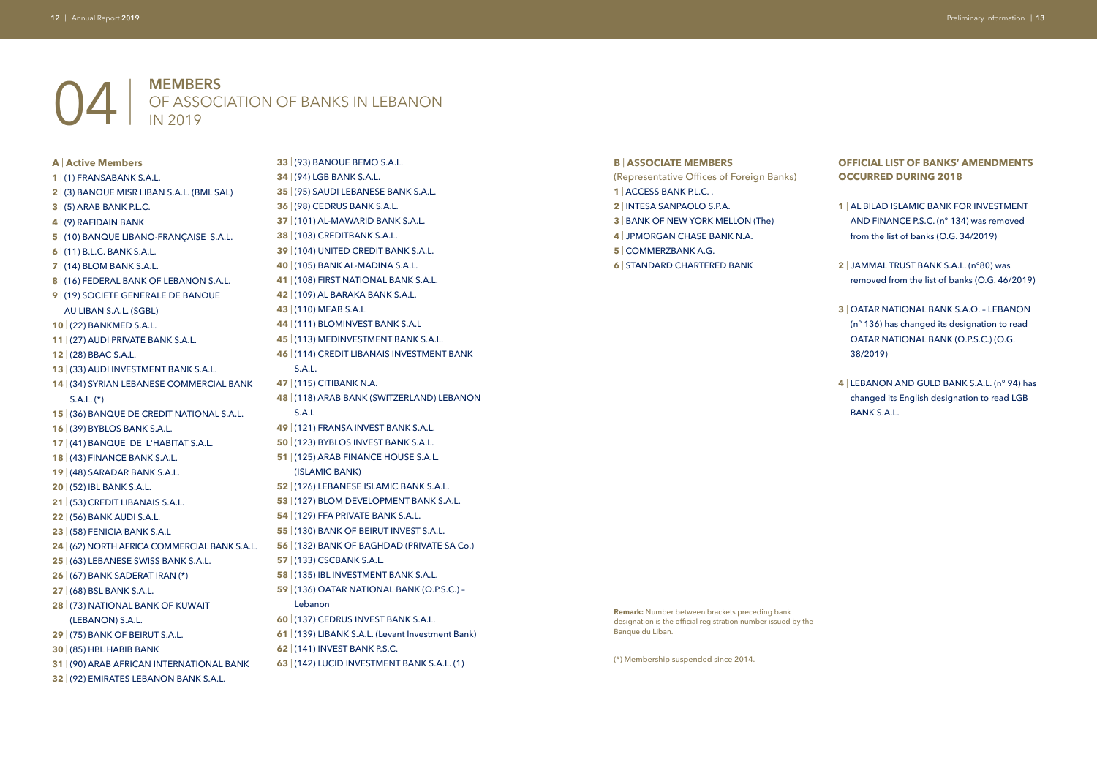## | **MEMBERS** OF ASSOCIATION OF BANKS IN LEBANON IN 2019

**A** | **Active Members**

#### **B** | **ASSOCIATE MEMBERS**

- (Representative Offices of Foreign Banks)
- | ACCESS BANK P.L.C. .
- | INTESA SANPAOLO S.P.A.
- | BANK OF NEW YORK MELLON (The)
- | JPMORGAN CHASE BANK N.A.
- | COMMERZBANK A.G.
- | STANDARD CHARTERED BANK

#### **OFFICIAL LIST OF BANKS' AMENDMENTS OCCURRED DURING 2018**

- | (1) FRANSABANK S.A.L.
- | (3) BANQUE MISR LIBAN S.A.L. (BML SAL)
- | (5) ARAB BANK P.L.C.
- | (9) RAFIDAIN BANK
- | (10) BANQUE LIBANO-FRANÇAISE S.A.L.
- | (11) B.L.C. BANK S.A.L.
- | (14) BLOM BANK S.A.L.
- | (16) FEDERAL BANK OF LEBANON S.A.L.
- | (19) SOCIETE GENERALE DE BANQUE
- AU LIBAN S.A.L. (SGBL)
- | (22) BANKMED S.A.L.
- | (27) AUDI PRIVATE BANK S.A.L.
- | (28) BBAC S.A.L.
- | (33) AUDI INVESTMENT BANK S.A.L.
- | (34) SYRIAN LEBANESE COMMERCIAL BANK S.A.L. (\*)
- | (36) BANQUE DE CREDIT NATIONAL S.A.L.
- | (39) BYBLOS BANK S.A.L.
- | (41) BANQUE DE L'HABITAT S.A.L.
- | (43) FINANCE BANK S.A.L.
- | (48) SARADAR BANK S.A.L.
- | (52) IBL BANK S.A.L.
- | (53) CREDIT LIBANAIS S.A.L.
- | (56) BANK AUDI S.A.L.
- | (58) FENICIA BANK S.A.L
- | (62) NORTH AFRICA COMMERCIAL BANK S.A.L.
- | (63) LEBANESE SWISS BANK S.A.L.
- | (67) BANK SADERAT IRAN (\*)
- | (68) BSL BANK S.A.L.
- | (73) NATIONAL BANK OF KUWAIT (LEBANON) S.A.L.
- | (75) BANK OF BEIRUT S.A.L.
- | (85) HBL HABIB BANK
- | (90) ARAB AFRICAN INTERNATIONAL BANK
- | (92) EMIRATES LEBANON BANK S.A.L.
- | (95) SAUDI LEBANESE BANK S.A.L. | (98) CEDRUS BANK S.A.L. | (101) AL-MAWARID BANK S.A.L. | (103) CREDITBANK S.A.L. | (104) UNITED CREDIT BANK S.A.L. | (105) BANK AL-MADINA S.A.L. | (108) FIRST NATIONAL BANK S.A.L. | (109) AL BARAKA BANK S.A.L. | (110) MEAB S.A.L | (111) BLOMINVEST BANK S.A.L | (113) MEDINVESTMENT BANK S.A.L. | (114) CREDIT LIBANAIS INVESTMENT BANK S.A.L. | (115) CITIBANK N.A. | (118) ARAB BANK (SWITZERLAND) LEBANON S.A.L | (121) FRANSA INVEST BANK S.A.L. | (123) BYBLOS INVEST BANK S.A.L. | (125) ARAB FINANCE HOUSE S.A.L. (ISLAMIC BANK) | (126) LEBANESE ISLAMIC BANK S.A.L. | (127) BLOM DEVELOPMENT BANK S.A.L. | (129) FFA PRIVATE BANK S.A.L. | (130) BANK OF BEIRUT INVEST S.A.L. | (132) BANK OF BAGHDAD (PRIVATE SA Co.) | (133) CSCBANK S.A.L. | (135) IBL INVESTMENT BANK S.A.L. | (136) QATAR NATIONAL BANK (Q.P.S.C.) – Lebanon | (137) CEDRUS INVEST BANK S.A.L. | (139) LIBANK S.A.L. (Levant Investment Bank) | (141) INVEST BANK P.S.C.
- | AL BILAD ISLAMIC BANK FOR INVESTMENT AND FINANCE P.S.C. (n° 134) was removed from the list of banks (O.G. 34/2019)
- | JAMMAL TRUST BANK S.A.L. (n°80) was removed from the list of banks (O.G. 46/2019)
- | QATAR NATIONAL BANK S.A.Q. LEBANON (n° 136) has changed its designation to read QATAR NATIONAL BANK (Q.P.S.C.) (O.G. 38/2019)
- | LEBANON AND GULD BANK S.A.L. (n° 94) has changed its English designation to read LGB BANK S.A.L.

| (93) BANQUE BEMO S.A.L.

| (94) LGB BANK S.A.L.

| (142) LUCID INVESTMENT BANK S.A.L. (1)

**Remark:** Number between brackets preceding bank designation is the official registration number issued by the Banque du Liban.

(\*) Membership suspended since 2014.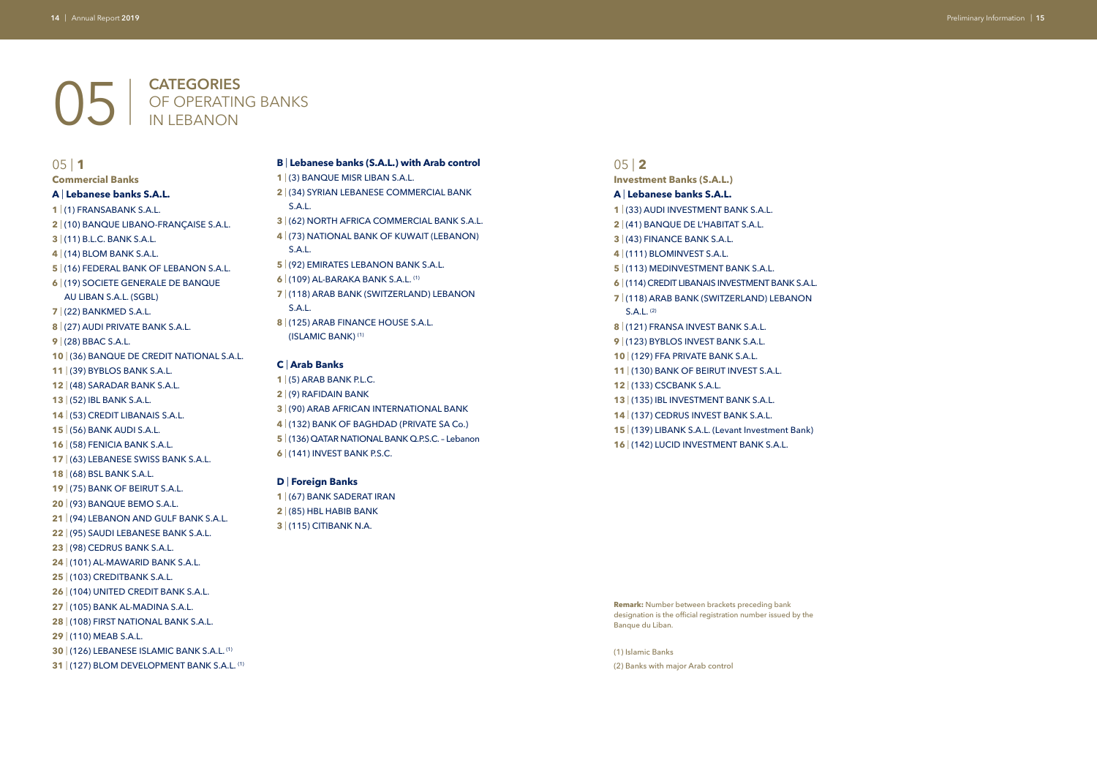- **A** | **Lebanese banks S.A.L.**
- | (1) FRANSABANK S.A.L.
- | (10) BANQUE LIBANO-FRANÇAISE S.A.L.
- | (11) B.L.C. BANK S.A.L.
- | (14) BLOM BANK S.A.L.
- | (16) FEDERAL BANK OF LEBANON S.A.L.
- | (19) SOCIETE GENERALE DE BANQUE AU LIBAN S.A.L. (SGBL)
- | (22) BANKMED S.A.L.
- | (27) AUDI PRIVATE BANK S.A.L.
- | (28) BBAC S.A.L.
- | (36) BANQUE DE CREDIT NATIONAL S.A.L.
- | (39) BYBLOS BANK S.A.L.
- | (48) SARADAR BANK S.A.L.
- | (52) IBL BANK S.A.L.
- | (53) CREDIT LIBANAIS S.A.L.
- | (56) BANK AUDI S.A.L.
- | (58) FENICIA BANK S.A.L.
- | (63) LEBANESE SWISS BANK S.A.L.
- | (68) BSL BANK S.A.L.
- | (75) BANK OF BEIRUT S.A.L.
- | (93) BANQUE BEMO S.A.L.
- | (94) LEBANON AND GULF BANK S.A.L.
- | (95) SAUDI LEBANESE BANK S.A.L.
- | (98) CEDRUS BANK S.A.L.
- | (101) AL-MAWARID BANK S.A.L.
- | (103) CREDITBANK S.A.L.
- | (104) UNITED CREDIT BANK S.A.L.
- | (105) BANK AL-MADINA S.A.L.
- | (108) FIRST NATIONAL BANK S.A.L.
- | (110) MEAB S.A.L.
- | (126) LEBANESE ISLAMIC BANK S.A.L. (1)
- **31** | (127) BLOM DEVELOPMENT BANK S.A.L. <sup>(1)</sup>

## | **CATEGORIES** OF OPERATING BANKS IN LEBANON

#### | **1**

#### **Commercial Banks**

#### 05 | **2**

#### **Investment Banks (S.A.L.)**

#### **A** | **Lebanese banks S.A.L.**

- | (33) AUDI INVESTMENT BANK S.A.L.
- | (41) BANQUE DE L'HABITAT S.A.L.
- | (43) FINANCE BANK S.A.L.
- | (111) BLOMINVEST S.A.L.
- | (113) MEDINVESTMENT BANK S.A.L.
- | (114) CREDIT LIBANAIS INVESTMENT BANK S.A.L.
- | (118) ARAB BANK (SWITZERLAND) LEBANON S.A.L. (2)
- | (121) FRANSA INVEST BANK S.A.L.
- | (123) BYBLOS INVEST BANK S.A.L.
- | (129) FFA PRIVATE BANK S.A.L.
- | (130) BANK OF BEIRUT INVEST S.A.L.
- | (133) CSCBANK S.A.L.
- | (135) IBL INVESTMENT BANK S.A.L.
- | (137) CEDRUS INVEST BANK S.A.L.
- 15 | (139) LIBANK S.A.L. (Levant Investment Bank)
- | (142) LUCID INVESTMENT BANK S.A.L.
- **B** | **Lebanese banks (S.A.L.) with Arab control**
- | (3) BANQUE MISR LIBAN S.A.L.
- | (34) SYRIAN LEBANESE COMMERCIAL BANK S.A.L.
	-
- | (62) NORTH AFRICA COMMERCIAL BANK S.A.L.
- | (73) NATIONAL BANK OF KUWAIT (LEBANON) S.A.L.
- | (92) EMIRATES LEBANON BANK S.A.L.
- | (109) AL-BARAKA BANK S.A.L. (1)
- | (118) ARAB BANK (SWITZERLAND) LEBANON S.A.L.
- | (125) ARAB FINANCE HOUSE S.A.L. (ISLAMIC BANK) (1)

#### **C** | **Arab Banks**

- | (5) ARAB BANK P.L.C.
- | (9) RAFIDAIN BANK
- | (90) ARAB AFRICAN INTERNATIONAL BANK
- | (132) BANK OF BAGHDAD (PRIVATE SA Co.)
- | (136) QATAR NATIONAL BANK Q.P.S.C. Lebanon
- | (141) INVEST BANK P.S.C.

#### **D** | **Foreign Banks**

- | (67) BANK SADERAT IRAN
- | (85) HBL HABIB BANK
- | (115) CITIBANK N.A.

#### **Remark:** Number between brackets preceding bank designation is the official registration number issued by the Banque du Liban.

#### (1) Islamic Banks

(2) Banks with major Arab control